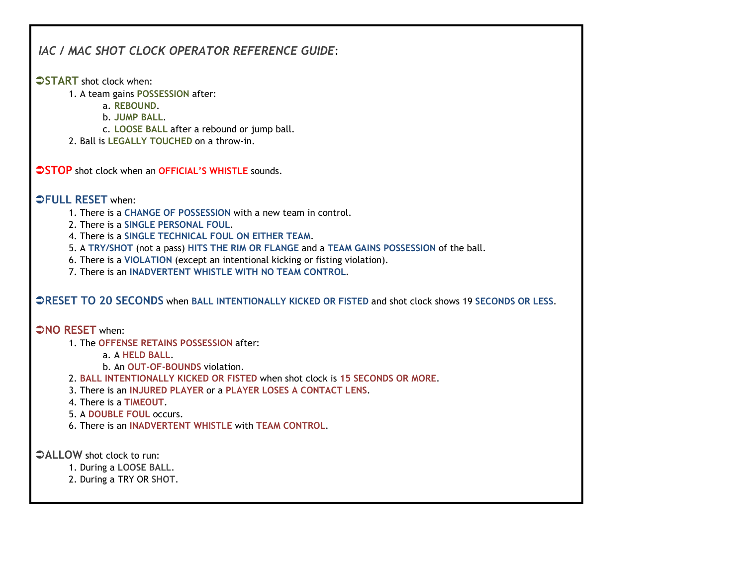## IAC / MAC SHOT CLOCK OPERATOR REFERENCE GUIDE:

**START** shot clock when:

- 1. A team gains POSSESSION after:
	- a. REBOUND.
	- b. JUMP BALL.
	- c. LOOSE BALL after a rebound or jump ball.
- 2. Ball is LEGALLY TOUCHED on a throw-in.

**STOP** shot clock when an **OFFICIAL'S WHISTLE** sounds.

**OFULL RESET when:** 

1. There is a CHANGE OF POSSESSION with a new team in control.

2. There is a SINGLE PERSONAL FOUL.

- 4. There is a SINGLE TECHNICAL FOUL ON EITHER TEAM.
- 5. A TRY/SHOT (not a pass) HITS THE RIM OR FLANGE and a TEAM GAINS POSSESSION of the ball.
- 6. There is a VIOLATION (except an intentional kicking or fisting violation).
- 7. There is an INADVERTENT WHISTLE WITH NO TEAM CONTROL.

## RESET TO 20 SECONDS when BALL INTENTIONALLY KICKED OR FISTED and shot clock shows 19 SECONDS OR LESS.

**ONO RESET when:** 

1. The OFFENSE RETAINS POSSESSION after:

a. A HELD BALL.

- b. An OUT-OF-BOUNDS violation.
- 2. BALL INTENTIONALLY KICKED OR FISTED when shot clock is 15 SECONDS OR MORE.
- 3. There is an INJURED PLAYER or a PLAYER LOSES A CONTACT LENS.
- 4. There is a TIMEOUT.
- 5. A DOUBLE FOUL occurs.
- 6. There is an INADVERTENT WHISTLE with TEAM CONTROL.

ALLOW shot clock to run:

- 1. During a LOOSE BALL.
- 2. During a TRY OR SHOT.